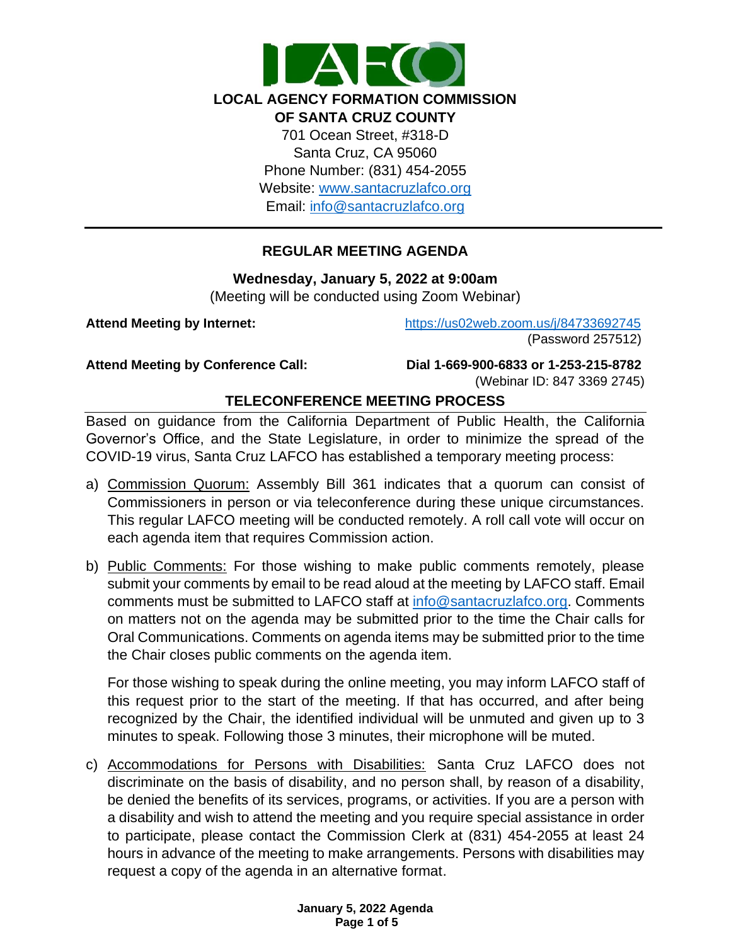

## **REGULAR MEETING AGENDA**

#### **Wednesday, January 5, 2022 at 9:00am**

(Meeting will be conducted using Zoom Webinar)

**Attend Meeting by Internet:** <https://us02web.zoom.us/j/84733692745> (Password 257512)

**Attend Meeting by Conference Call: Dial 1-669-900-6833 or 1-253-215-8782**  (Webinar ID: 847 3369 2745)

## **TELECONFERENCE MEETING PROCESS**

Based on guidance from the California Department of Public Health, the California Governor's Office, and the State Legislature, in order to minimize the spread of the COVID-19 virus, Santa Cruz LAFCO has established a temporary meeting process:

- a) Commission Quorum: Assembly Bill 361 indicates that a quorum can consist of Commissioners in person or via teleconference during these unique circumstances. This regular LAFCO meeting will be conducted remotely. A roll call vote will occur on each agenda item that requires Commission action.
- b) Public Comments: For those wishing to make public comments remotely, please submit your comments by email to be read aloud at the meeting by LAFCO staff. Email comments must be submitted to LAFCO staff at [info@santacruzlafco.org.](mailto:info@santacruzlafco.org) Comments on matters not on the agenda may be submitted prior to the time the Chair calls for Oral Communications. Comments on agenda items may be submitted prior to the time the Chair closes public comments on the agenda item.

For those wishing to speak during the online meeting, you may inform LAFCO staff of this request prior to the start of the meeting. If that has occurred, and after being recognized by the Chair, the identified individual will be unmuted and given up to 3 minutes to speak. Following those 3 minutes, their microphone will be muted.

c) Accommodations for Persons with Disabilities: Santa Cruz LAFCO does not discriminate on the basis of disability, and no person shall, by reason of a disability, be denied the benefits of its services, programs, or activities. If you are a person with a disability and wish to attend the meeting and you require special assistance in order to participate, please contact the Commission Clerk at (831) 454-2055 at least 24 hours in advance of the meeting to make arrangements. Persons with disabilities may request a copy of the agenda in an alternative format.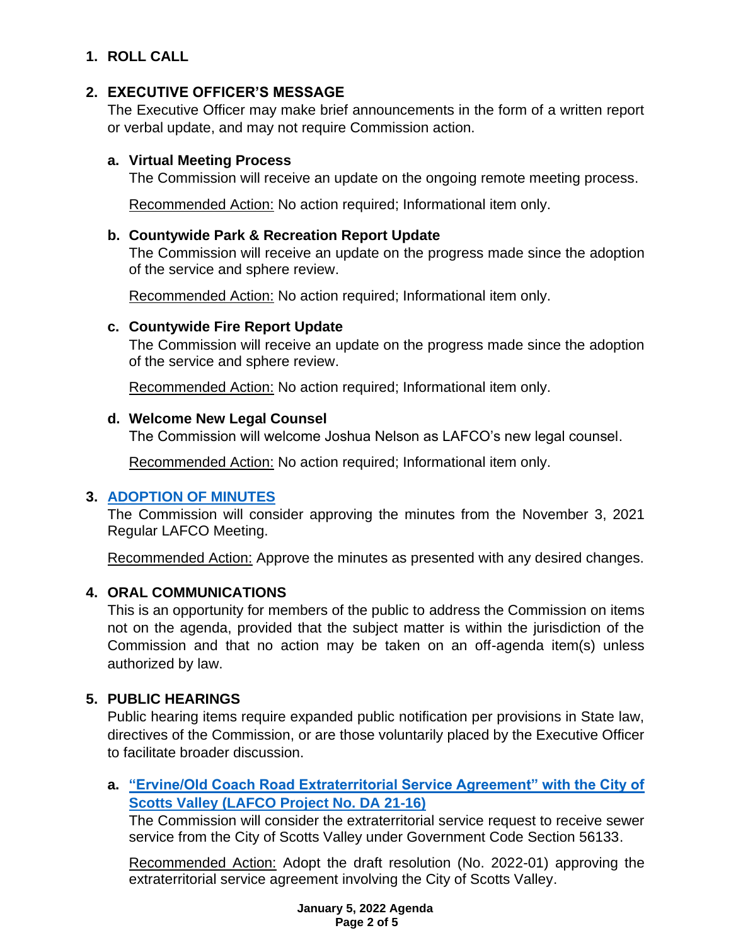# **1. ROLL CALL**

## **2. EXECUTIVE OFFICER'S MESSAGE**

The Executive Officer may make brief announcements in the form of a written report or verbal update, and may not require Commission action.

## **a. Virtual Meeting Process**

The Commission will receive an update on the ongoing remote meeting process.

Recommended Action: No action required; Informational item only.

## **b. Countywide Park & Recreation Report Update**

The Commission will receive an update on the progress made since the adoption of the service and sphere review.

Recommended Action: No action required; Informational item only.

## **c. Countywide Fire Report Update**

The Commission will receive an update on the progress made since the adoption of the service and sphere review.

Recommended Action: No action required; Informational item only.

## **d. Welcome New Legal Counsel**

The Commission will welcome Joshua Nelson as LAFCO's new legal counsel.

Recommended Action: No action required; Informational item only.

## **3. [ADOPTION OF MINUTES](https://www.santacruzlafco.org/wp-content/uploads/2021/12/3.0-Draft-Minutes-Nov-3-Meeting.pdf)**

The Commission will consider approving the minutes from the November 3, 2021 Regular LAFCO Meeting.

Recommended Action: Approve the minutes as presented with any desired changes.

## **4. ORAL COMMUNICATIONS**

This is an opportunity for members of the public to address the Commission on items not on the agenda, provided that the subject matter is within the jurisdiction of the Commission and that no action may be taken on an off-agenda item(s) unless authorized by law.

## **5. PUBLIC HEARINGS**

Public hearing items require expanded public notification per provisions in State law, directives of the Commission, or are those voluntarily placed by the Executive Officer to facilitate broader discussion.

## **a. ["Ervine/Old Coach Road Extraterritorial Service Agreement" with the City of](https://www.santacruzlafco.org/wp-content/uploads/2021/12/5a.0-ESA-21-16-Staff-Report_Hyperlink.pdf)  Scotts Valley [\(LAFCO Project No. DA 21-16\)](https://www.santacruzlafco.org/wp-content/uploads/2021/12/5a.0-ESA-21-16-Staff-Report_Hyperlink.pdf)**

The Commission will consider the extraterritorial service request to receive sewer service from the City of Scotts Valley under Government Code Section 56133.

Recommended Action: Adopt the draft resolution (No. 2022-01) approving the extraterritorial service agreement involving the City of Scotts Valley.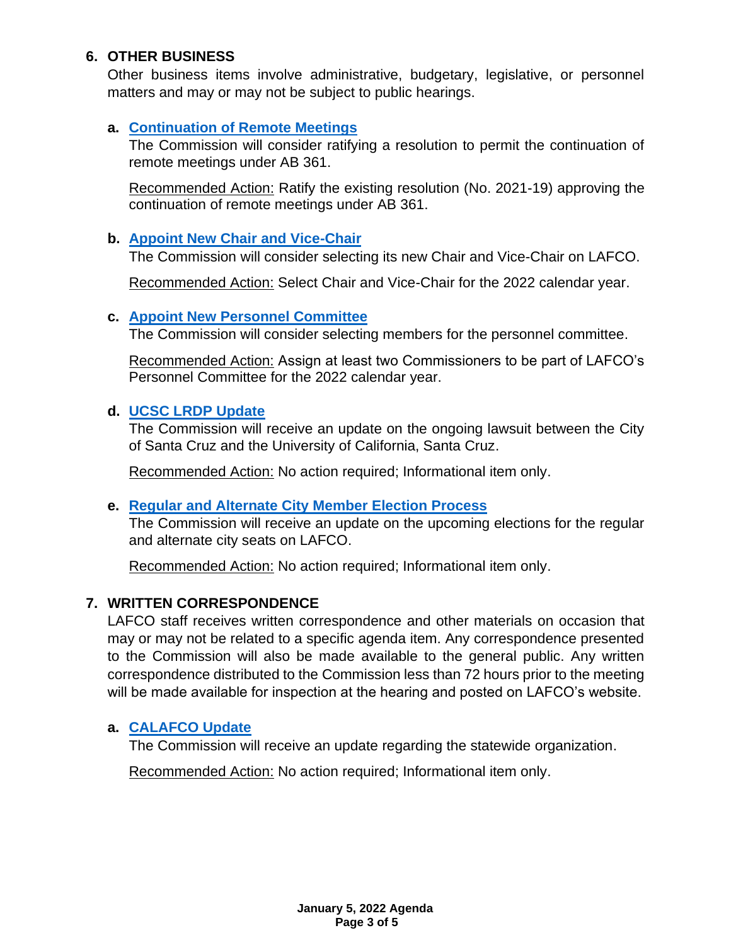## **6. OTHER BUSINESS**

Other business items involve administrative, budgetary, legislative, or personnel matters and may or may not be subject to public hearings.

## **a. [Continuation of Remote Meetings](https://www.santacruzlafco.org/wp-content/uploads/2021/12/6a.0-AB-361-Update-Staff-Report_Hyperlink.pdf)**

The Commission will consider ratifying a resolution to permit the continuation of remote meetings under AB 361.

Recommended Action: Ratify the existing resolution (No. 2021-19) approving the continuation of remote meetings under AB 361.

#### **b. [Appoint New Chair and Vice-Chair](https://www.santacruzlafco.org/wp-content/uploads/2021/12/6b.0-Appoint-Chair-and-Vice-Chair-Staff-Report_Hyperlink.pdf)**

The Commission will consider selecting its new Chair and Vice-Chair on LAFCO.

Recommended Action: Select Chair and Vice-Chair for the 2022 calendar year.

#### **c. [Appoint New Personnel Committee](https://www.santacruzlafco.org/wp-content/uploads/2021/12/6c.0-Appoint-Personnel-Committee-Staff-Report.pdf)**

The Commission will consider selecting members for the personnel committee.

Recommended Action: Assign at least two Commissioners to be part of LAFCO's Personnel Committee for the 2022 calendar year.

### **d. [UCSC LRDP Update](https://www.santacruzlafco.org/wp-content/uploads/2021/12/6d.0-UCSC-Update-Staff-Report.pdf)**

The Commission will receive an update on the ongoing lawsuit between the City of Santa Cruz and the University of California, Santa Cruz.

Recommended Action: No action required; Informational item only.

### **e. [Regular and Alternate City Member](https://www.santacruzlafco.org/wp-content/uploads/2021/12/6e.0-City-Selection-Rotation-Staff-Report_Hyperlink.pdf) Election Process**

The Commission will receive an update on the upcoming elections for the regular and alternate city seats on LAFCO.

Recommended Action: No action required; Informational item only.

### **7. WRITTEN CORRESPONDENCE**

LAFCO staff receives written correspondence and other materials on occasion that may or may not be related to a specific agenda item. Any correspondence presented to the Commission will also be made available to the general public. Any written correspondence distributed to the Commission less than 72 hours prior to the meeting will be made available for inspection at the hearing and posted on LAFCO's website.

### **a. [CALAFCO Update](https://www.santacruzlafco.org/wp-content/uploads/2021/12/7a.0-CALAFCO-Update-Staff-Report_Hyperlink.pdf)**

The Commission will receive an update regarding the statewide organization.

Recommended Action: No action required; Informational item only.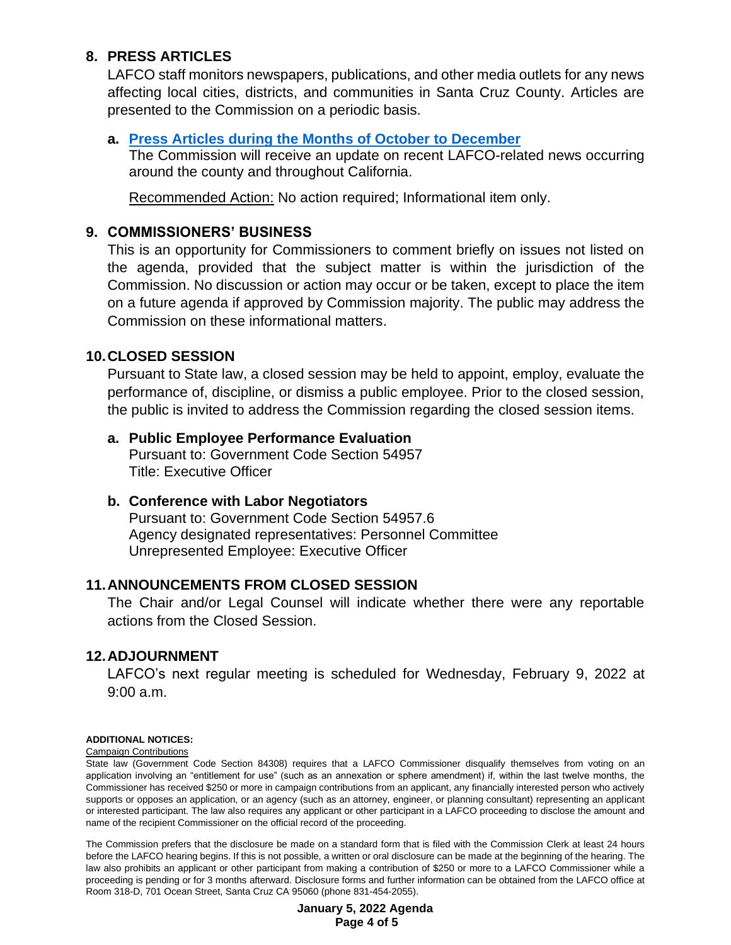## **8. PRESS ARTICLES**

LAFCO staff monitors newspapers, publications, and other media outlets for any news affecting local cities, districts, and communities in Santa Cruz County. Articles are presented to the Commission on a periodic basis.

#### **a. [Press Articles during the Months of October](https://www.santacruzlafco.org/wp-content/uploads/2021/12/8a.0-Press-Articles-Staff-Report_Hyperlink.pdf) to December**

The Commission will receive an update on recent LAFCO-related news occurring around the county and throughout California.

Recommended Action: No action required; Informational item only.

### **9. COMMISSIONERS' BUSINESS**

This is an opportunity for Commissioners to comment briefly on issues not listed on the agenda, provided that the subject matter is within the jurisdiction of the Commission. No discussion or action may occur or be taken, except to place the item on a future agenda if approved by Commission majority. The public may address the Commission on these informational matters.

### **10.CLOSED SESSION**

Pursuant to State law, a closed session may be held to appoint, employ, evaluate the performance of, discipline, or dismiss a public employee. Prior to the closed session, the public is invited to address the Commission regarding the closed session items.

### **a. Public Employee Performance Evaluation**

Pursuant to: Government Code Section 54957 Title: Executive Officer

### **b. Conference with Labor Negotiators**

Pursuant to: Government Code Section 54957.6 Agency designated representatives: Personnel Committee Unrepresented Employee: Executive Officer

### **11.ANNOUNCEMENTS FROM CLOSED SESSION**

The Chair and/or Legal Counsel will indicate whether there were any reportable actions from the Closed Session.

### **12.ADJOURNMENT**

LAFCO's next regular meeting is scheduled for Wednesday, February 9, 2022 at 9:00 a.m.

#### **ADDITIONAL NOTICES:**

Campaign Contributions

State law (Government Code Section 84308) requires that a LAFCO Commissioner disqualify themselves from voting on an application involving an "entitlement for use" (such as an annexation or sphere amendment) if, within the last twelve months, the Commissioner has received \$250 or more in campaign contributions from an applicant, any financially interested person who actively supports or opposes an application, or an agency (such as an attorney, engineer, or planning consultant) representing an applicant or interested participant. The law also requires any applicant or other participant in a LAFCO proceeding to disclose the amount and name of the recipient Commissioner on the official record of the proceeding.

The Commission prefers that the disclosure be made on a standard form that is filed with the Commission Clerk at least 24 hours before the LAFCO hearing begins. If this is not possible, a written or oral disclosure can be made at the beginning of the hearing. The law also prohibits an applicant or other participant from making a contribution of \$250 or more to a LAFCO Commissioner while a proceeding is pending or for 3 months afterward. Disclosure forms and further information can be obtained from the LAFCO office at Room 318-D, 701 Ocean Street, Santa Cruz CA 95060 (phone 831-454-2055).

> **January 5, 2022 Agenda Page 4 of 5**